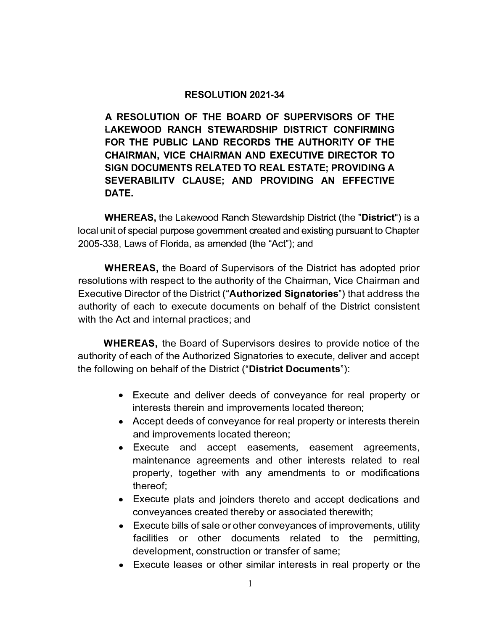## **RESOLUTION 2021-34**

**A RESOLUTION OF THE BOARD OF SUPERVISORS OF THE LAKEWOOD RANCH STEWARDSHIP DISTRICT CONFIRMING FOR THE PUBLIC LAND RECORDS THE AUTHORITY OF THE CHAIRMAN, VICE CHAIRMAN AND EXECUTIVE DIRECTOR TO SIGN DOCUMENTS RELATED TO REAL ESTATE; PROVIDING A SEVERABILITV CLAUSE; AND PROVIDING AN EFFECTIVE DATE.** 

**WHEREAS,** the Lakewood Ranch Stewardship District (the **"District")** is a local unit of special purpose government created and existing pursuant to Chapter 2005-338, Laws of Florida, as amended (the "Act"); and

**WHEREAS,** the Board of Supervisors of the District has adopted prior resolutions with respect to the authority of the Chairman, Vice Chairman and Executive Director of the District **("Authorized Signatories")** that address the authority of each to execute documents on behalf of the District consistent with the Act and internal practices; and

**WHEREAS,** the Board of Supervisors desires to provide notice of the authority of each of the Authorized Signatories to execute, deliver and accept the following on behalf of the District **("District Documents"):** 

- Execute and deliver deeds of conveyance for real property or interests therein and improvements located thereon;
- Accept deeds of conveyance for real property or interests therein and improvements located thereon;
- Execute and accept easements, easement agreements, maintenance agreements and other interests related to real property, together with any amendments to or modifications thereof;
- Execute plats and joinders thereto and accept dedications and conveyances created thereby or associated therewith;
- Execute bills of sale or other conveyances of improvements, utility facilities or other documents related to the permitting, development, construction or transfer of same;
- Execute leases or other similar interests in real property or the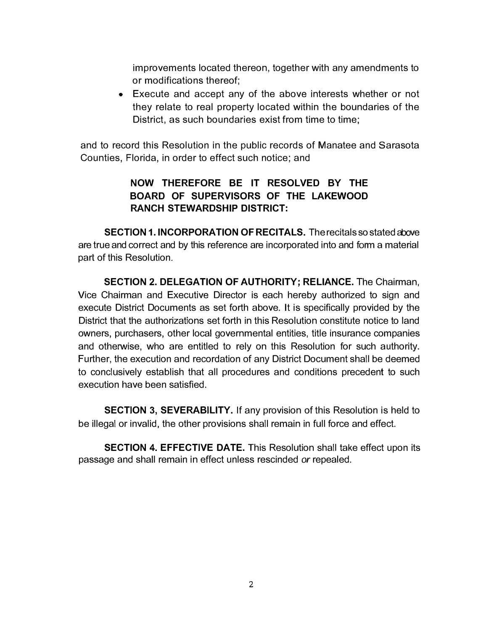improvements located thereon, together with any amendments to or modifications thereof;

• Execute and accept any of the above interests whether or not they relate to real property located within the boundaries of the District, as such boundaries exist from time to time;

and to record this Resolution in the public records of Manatee and Sarasota Counties, Florida, in order to effect such notice; and

## **NOW THEREFORE BE IT RESOLVED BY THE BOARD OF SUPERVISORS OF THE LAKEWOOD RANCH STEWARDSHIP DISTRICT:**

**SECTION 1. INCORPORATION OF RECITALS.** The recitals so stated above are true and correct and by this reference are incorporated into and form a material part of this Resolution.

**SECTION 2. DELEGATION OF AUTHORITY; RELIANCE.** The Chairman, Vice Chairman and Executive Director is each hereby authorized to sign and execute District Documents as set forth above. It is specifically provided by the District that the authorizations set forth in this Resolution constitute notice to land owners, purchasers, other local governmental entities, title insurance companies and otherwise, who are entitled to rely on this Resolution for such authority. Further, the execution and recordation of any District Document shall be deemed to conclusively establish that all procedures and conditions precedent to such execution have been satisfied.

**SECTION 3, SEVERABILITY.** If any provision of this Resolution is held to be illegal or invalid, the other provisions shall remain in full force and effect.

**SECTION 4. EFFECTIVE DATE.** This Resolution shall take effect upon its passage and shall remain in effect unless rescinded *or* repealed.